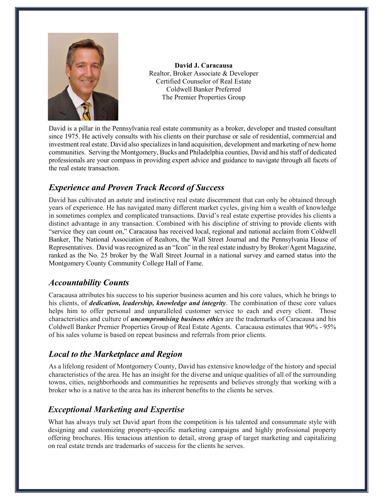

**David J. Caracausa** Realtor, Broker Associate & Developer Certified Counselor of Real Estate Coldwell Banker Preferred The Premier Properties Group

David is a pillar in the Pennsylvania real estate community as a broker, developer and trusted consultant since 1975. He actively consults with his clients on their purchase or sale of residential, commercial and investment real estate. David also specializesin land acquisition, development and marketing of new home communities. Serving the Montgomery, Bucks and Philadelphia counties, David and his staff of dedicated professionals are your compass in providing expert advice and guidance to navigate through all facets of the real estate transaction.

## *Experience and Proven Track Record of Success*

David has cultivated an astute and instinctive real estate discernment that can only be obtained through years of experience. He has navigated many different market cycles, giving him a wealth of knowledge in sometimes complex and complicated transactions. David's real estate expertise provides his clients a distinct advantage in any transaction. Combined with his discipline of striving to provide clients with "service they can count on," Caracausa has received local, regional and national acclaim from Coldwell Banker, The National Association of Realtors, the Wall Street Journal and the Pennsylvania House of Representatives. David was recognized as an "Icon" in the real estate industry by Broker/Agent Magazine, ranked as the No. 25 broker by the Wall Street Journal in a national survey and earned status into the Montgomery County Community College Hall of Fame.

## *Accountability Counts*

Caracausa attributes his success to his superior business acumen and his core values, which he brings to his clients, of *dedication, leadership, knowledge and integrity*. The combination of these core values helps him to offer personal and unparalleled customer service to each and every client. Those characteristics and culture of *uncompromising business ethics* are the trademarks of Caracausa and his Coldwell Banker Premier Properties Group of Real Estate Agents. Caracausa estimates that 90% - 95% of his sales volume is based on repeat business and referrals from prior clients.

## *Local to the Marketplace and Region*

As a lifelong resident of Montgomery County, David has extensive knowledge of the history and special characteristics of the area. He has an insight for the diverse and unique qualities of all of the surrounding towns, cities, neighborhoods and communities he represents and believes strongly that working with a broker who is a native to the area has its inherent benefits to the clients he serves.

# *Exceptional Marketing and Expertise*

What has always truly set David apart from the competition is his talented and consummate style with designing and customizing property-specific marketing campaigns and highly professional property offering brochures. His tenacious attention to detail, strong grasp of target marketing and capitalizing on real estate trends are trademarks of success for the clients he serves.